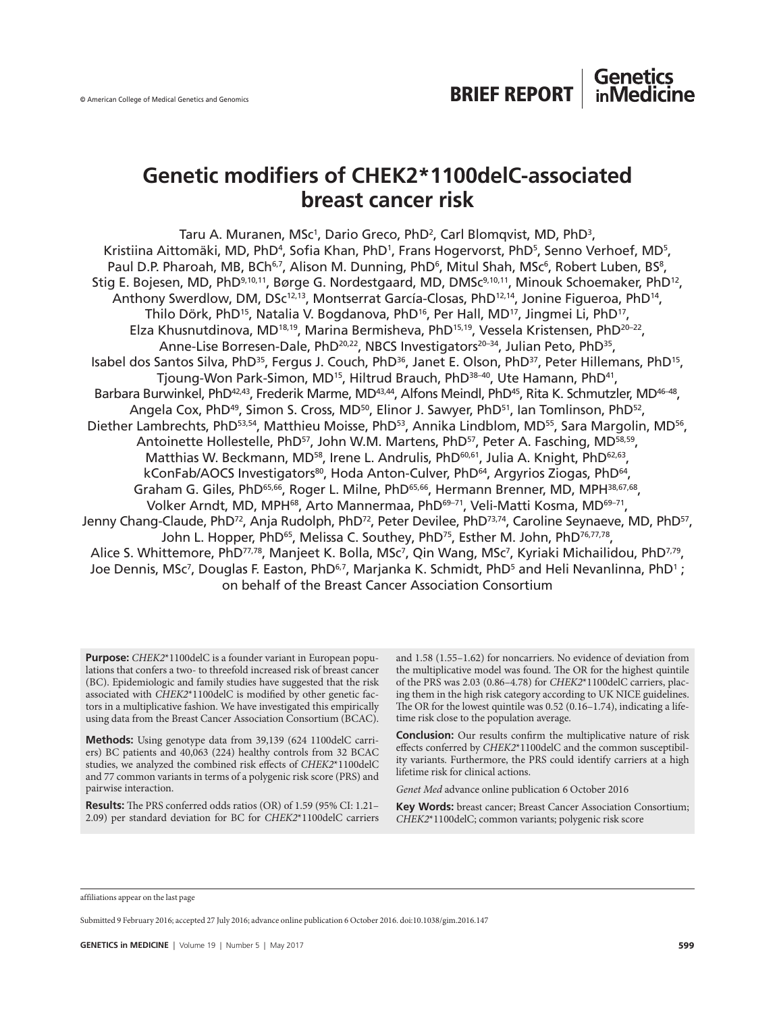# **Genetic modifiers of CHEK2\*1100delC-associated breast cancer risk**

Taru A. Muranen, MSc<sup>1</sup>, Dario Greco, PhD<sup>2</sup>, Carl Blomqvist, MD, PhD<sup>3</sup>, Kristiina Aittomäki, MD, PhD<sup>4</sup>, Sofia Khan, PhD<sup>1</sup>, Frans Hogervorst, PhD<sup>5</sup>, Senno Verhoef, MD<sup>5</sup>, Paul D.P. Pharoah, MB, BCh<sup>6,7</sup>, Alison M. Dunning, PhD<sup>6</sup>, Mitul Shah, MSc<sup>6</sup>, Robert Luben, BS<sup>8</sup>, Stig E. Bojesen, MD, PhD<sup>9,10,11</sup>, Børge G. Nordestgaard, MD, DMSc<sup>9,10,11</sup>, Minouk Schoemaker, PhD<sup>12</sup>, Anthony Swerdlow, DM, DSc<sup>12,13</sup>, Montserrat García-Closas, PhD<sup>12,14</sup>, Jonine Figueroa, PhD<sup>14</sup>, Thilo Dörk, PhD<sup>15</sup>, Natalia V. Bogdanova, PhD<sup>16</sup>, Per Hall, MD<sup>17</sup>, Jingmei Li, PhD<sup>17</sup>, Elza Khusnutdinova, MD18,19, Marina Bermisheva, PhD15,19, Vessela Kristensen, PhD20–22, Anne-Lise Borresen-Dale, PhD<sup>20,22</sup>, NBCS Investigators<sup>20-34</sup>, Julian Peto, PhD<sup>35</sup>, Isabel dos Santos Silva, PhD<sup>35</sup>, Fergus J. Couch, PhD<sup>36</sup>, Janet E. Olson, PhD<sup>37</sup>, Peter Hillemans, PhD<sup>15</sup>, Tjoung-Won Park-Simon, MD<sup>15</sup>, Hiltrud Brauch, PhD<sup>38-40</sup>, Ute Hamann, PhD<sup>41</sup>, Barbara Burwinkel, PhD<sup>42,43</sup>, Frederik Marme, MD<sup>43,44</sup>, Alfons Meindl, PhD<sup>45</sup>, Rita K. Schmutzler, MD<sup>46-48</sup>, Angela Cox, PhD<sup>49</sup>, Simon S. Cross, MD<sup>50</sup>, Elinor J. Sawyer, PhD<sup>51</sup>, Ian Tomlinson, PhD<sup>52</sup>, Diether Lambrechts, PhD<sup>53,54</sup>, Matthieu Moisse, PhD<sup>53</sup>, Annika Lindblom, MD<sup>55</sup>, Sara Margolin, MD<sup>56</sup>, Antoinette Hollestelle, PhD<sup>57</sup>, John W.M. Martens, PhD<sup>57</sup>, Peter A. Fasching, MD<sup>58,59</sup>, Matthias W. Beckmann, MD<sup>58</sup>, Irene L. Andrulis, PhD<sup>60,61</sup>, Julia A. Knight, PhD<sup>62,63</sup>, kConFab/AOCS Investigators<sup>80</sup>, Hoda Anton-Culver, PhD<sup>64</sup>, Argyrios Ziogas, PhD<sup>64</sup>, Graham G. Giles, PhD<sup>65,66</sup>, Roger L. Milne, PhD<sup>65,66</sup>, Hermann Brenner, MD, MPH<sup>38,67,68</sup>, Volker Arndt, MD, MPH<sup>68</sup>, Arto Mannermaa, PhD<sup>69-71</sup>, Veli-Matti Kosma, MD<sup>69-71</sup>, Jenny Chang-Claude, PhD<sup>72</sup>, Anja Rudolph, PhD<sup>72</sup>, Peter Devilee, PhD<sup>73,74</sup>, Caroline Seynaeve, MD, PhD<sup>57</sup>, John L. Hopper, PhD<sup>65</sup>, Melissa C. Southey, PhD<sup>75</sup>, Esther M. John, PhD<sup>76,77,78</sup>, Alice S. Whittemore, PhD<sup>77,78</sup>, Manjeet K. Bolla, MSc<sup>7</sup>, Qin Wang, MSc<sup>7</sup>, Kyriaki Michailidou, PhD<sup>7,79</sup>, Joe Dennis, MSc<sup>7</sup>, Douglas F. Easton, PhD<sup>6,7</sup>, Marjanka K. Schmidt, PhD<sup>5</sup> and Heli Nevanlinna, PhD<sup>1</sup>; on behalf of the Breast Cancer Association Consortium

**Purpose:** *CHEK2*\*1100delC is a founder variant in European populations that confers a two- to threefold increased risk of breast cancer (BC). Epidemiologic and family studies have suggested that the risk associated with *CHEK2*\*1100delC is modified by other genetic factors in a multiplicative fashion. We have investigated this empirically using data from the Breast Cancer Association Consortium (BCAC).

**Methods:** Using genotype data from 39,139 (624 1100delC carriers) BC patients and 40,063 (224) healthy controls from 32 BCAC studies, we analyzed the combined risk effects of *CHEK2*\*1100delC and 77 common variants in terms of a polygenic risk score (PRS) and pairwise interaction.

**Results:** The PRS conferred odds ratios (OR) of 1.59 (95% CI: 1.21– 2.09) per standard deviation for BC for *CHEK2*\*1100delC carriers and 1.58 (1.55–1.62) for noncarriers. No evidence of deviation from the multiplicative model was found. The OR for the highest quintile of the PRS was 2.03 (0.86–4.78) for *CHEK2*\*1100delC carriers, placing them in the high risk category according to UK NICE guidelines. The OR for the lowest quintile was 0.52 (0.16–1.74), indicating a lifetime risk close to the population average.

**Conclusion:** Our results confirm the multiplicative nature of risk effects conferred by *CHEK2*\*1100delC and the common susceptibility variants. Furthermore, the PRS could identify carriers at a high lifetime risk for clinical actions.

*Genet Med* advance online publication 6 October 2016

**Key Words:** breast cancer; Breast Cancer Association Consortium; *CHEK2*\*1100delC; common variants; polygenic risk score

affiliations appear on the last page

Submitted 9 February 2016; accepted 27 July 2016; advance online publication 6 October 2016. doi:10.1038/gim.2016.147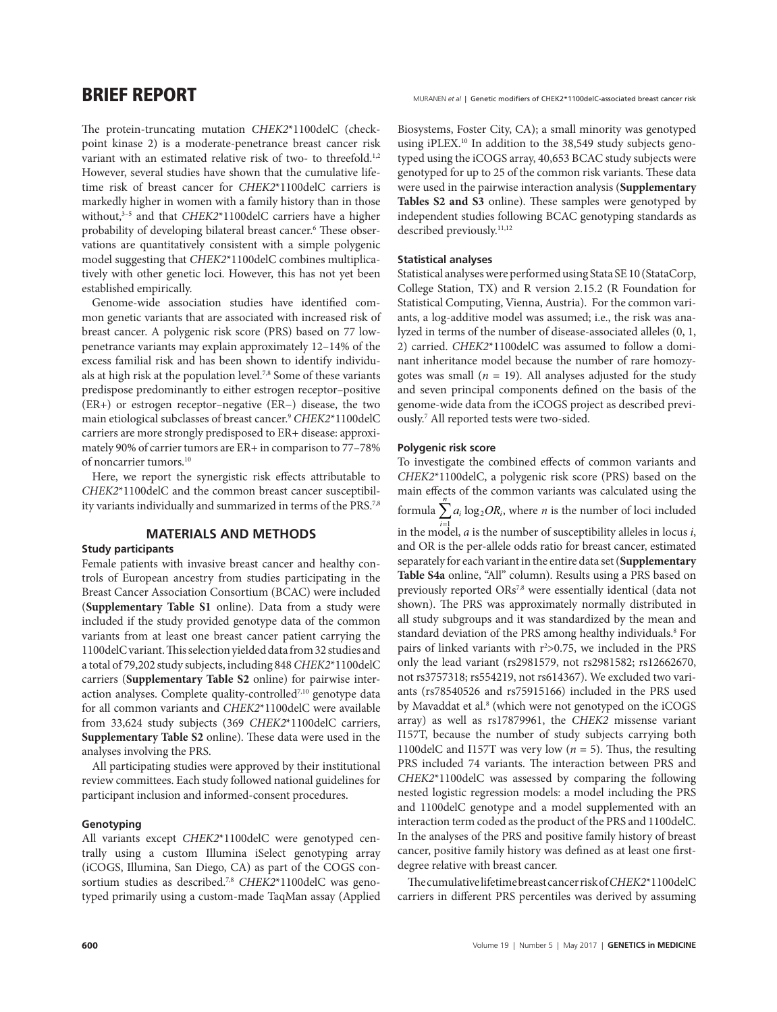**BRIEF REPORT** MURANEN et al | Genetic modifiers of CHEK2\*1100delC-associated breast cancer risk

The protein-truncating mutation *CHEK2*\*1100delC (checkpoint kinase 2) is a moderate-penetrance breast cancer risk variant with an estimated relative risk of two- to threefold.<sup>1,2</sup> However, several studies have shown that the cumulative lifetime risk of breast cancer for *CHEK2*\*1100delC carriers is markedly higher in women with a family history than in those without,<sup>3-5</sup> and that *CHEK2*\*1100delC carriers have a higher probability of developing bilateral breast cancer.6 These observations are quantitatively consistent with a simple polygenic model suggesting that *CHEK2*\*1100delC combines multiplicatively with other genetic loci. However, this has not yet been established empirically.

Genome-wide association studies have identified common genetic variants that are associated with increased risk of breast cancer. A polygenic risk score (PRS) based on 77 lowpenetrance variants may explain approximately 12–14% of the excess familial risk and has been shown to identify individuals at high risk at the population level.7,8 Some of these variants predispose predominantly to either estrogen receptor–positive (ER+) or estrogen receptor–negative (ER−) disease, the two main etiological subclasses of breast cancer.9 *CHEK2*\*1100delC carriers are more strongly predisposed to ER+ disease: approximately 90% of carrier tumors are ER+ in comparison to 77–78% of noncarrier tumors.10

Here, we report the synergistic risk effects attributable to *CHEK2*\*1100delC and the common breast cancer susceptibility variants individually and summarized in terms of the PRS.<sup>7,8</sup>

# **MATERIALS AND METHODS**

### **Study participants**

Female patients with invasive breast cancer and healthy controls of European ancestry from studies participating in the Breast Cancer Association Consortium (BCAC) were included (**Supplementary Table S1** online). Data from a study were included if the study provided genotype data of the common variants from at least one breast cancer patient carrying the 1100delC variant. This selection yielded data from 32 studies and a total of 79,202 study subjects, including 848 *CHEK2*\*1100delC carriers (**Supplementary Table S2** online) for pairwise interaction analyses. Complete quality-controlled<sup>7,10</sup> genotype data for all common variants and *CHEK2*\*1100delC were available from 33,624 study subjects (369 *CHEK2*\*1100delC carriers, **Supplementary Table S2** online). These data were used in the analyses involving the PRS.

All participating studies were approved by their institutional review committees. Each study followed national guidelines for participant inclusion and informed-consent procedures.

### **Genotyping**

All variants except *CHEK2*\*1100delC were genotyped centrally using a custom Illumina iSelect genotyping array (iCOGS, Illumina, San Diego, CA) as part of the COGS consortium studies as described.7,8 *CHEK2*\*1100delC was genotyped primarily using a custom-made TaqMan assay (Applied Biosystems, Foster City, CA); a small minority was genotyped using iPLEX.<sup>10</sup> In addition to the 38,549 study subjects genotyped using the iCOGS array, 40,653 BCAC study subjects were genotyped for up to 25 of the common risk variants. These data were used in the pairwise interaction analysis (**Supplementary Tables S2 and S3** online). These samples were genotyped by independent studies following BCAC genotyping standards as described previously.<sup>11,12</sup>

#### **Statistical analyses**

Statistical analyses were performed using Stata SE 10 (StataCorp, College Station, TX) and R version 2.15.2 (R Foundation for Statistical Computing, Vienna, Austria). For the common variants, a log-additive model was assumed; i.e., the risk was analyzed in terms of the number of disease-associated alleles (0, 1, 2) carried. *CHEK2*\*1100delC was assumed to follow a dominant inheritance model because the number of rare homozygotes was small  $(n = 19)$ . All analyses adjusted for the study and seven principal components defined on the basis of the genome-wide data from the iCOGS project as described previously.7 All reported tests were two-sided.

#### **Polygenic risk score**

To investigate the combined effects of common variants and *CHEK2*\*1100delC, a polygenic risk score (PRS) based on the main effects of the common variants was calculated using the formula  $\sum_{i=1}^{n} a_i \log_2 OR_i$ , where *n* is the number of loci included in the model, *a* is the number of susceptibility alleles in locus *i*, and OR is the per-allele odds ratio for breast cancer, estimated separately for each variant in the entire data set (**Supplementary Table S4a** online, "All" column). Results using a PRS based on previously reported ORs7,8 were essentially identical (data not shown). The PRS was approximately normally distributed in all study subgroups and it was standardized by the mean and standard deviation of the PRS among healthy individuals.<sup>8</sup> For pairs of linked variants with  $r^2 > 0.75$ , we included in the PRS only the lead variant (rs2981579, not rs2981582; rs12662670, not rs3757318; rs554219, not rs614367). We excluded two variants (rs78540526 and rs75915166) included in the PRS used by Mavaddat et al.<sup>8</sup> (which were not genotyped on the iCOGS array) as well as rs17879961, the *CHEK2* missense variant I157T, because the number of study subjects carrying both 1100delC and I157T was very low (*n* = 5). Thus, the resulting PRS included 74 variants. The interaction between PRS and *CHEK2*\*1100delC was assessed by comparing the following nested logistic regression models: a model including the PRS and 1100delC genotype and a model supplemented with an interaction term coded as the product of the PRS and 1100delC. In the analyses of the PRS and positive family history of breast cancer, positive family history was defined as at least one firstdegree relative with breast cancer.

The cumulative lifetime breast cancer risk of *CHEK2*\*1100delC carriers in different PRS percentiles was derived by assuming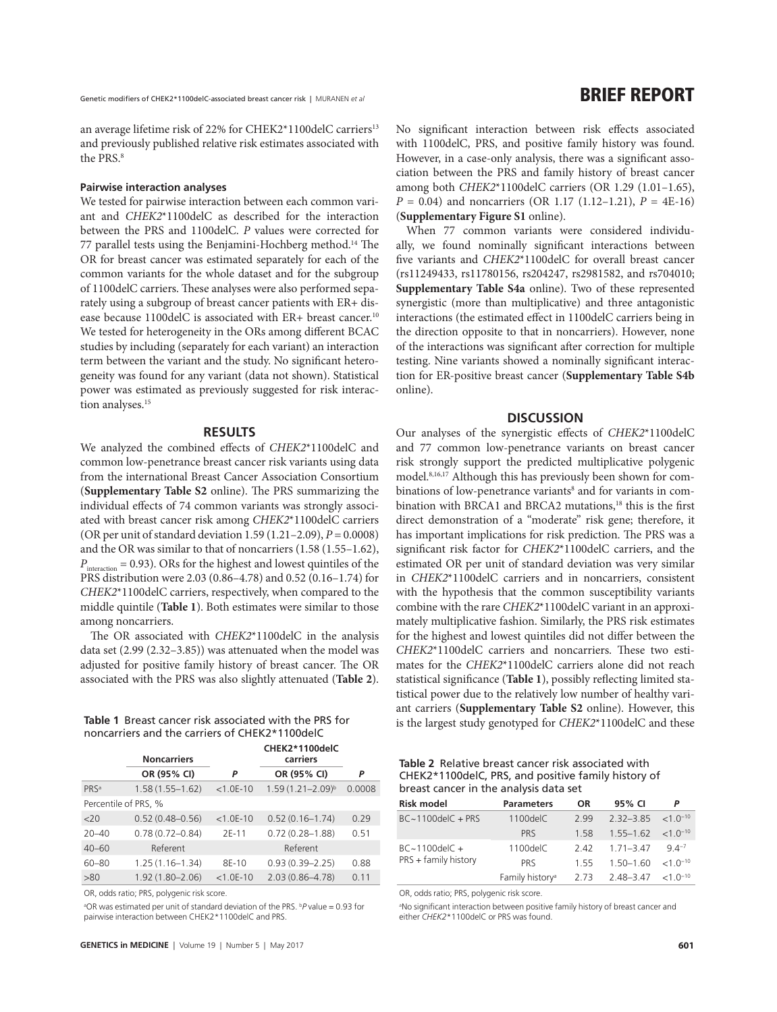an average lifetime risk of 22% for CHEK2\*1100delC carriers<sup>13</sup> and previously published relative risk estimates associated with the PRS<sup>8</sup>

#### **Pairwise interaction analyses**

We tested for pairwise interaction between each common variant and *CHEK2*\*1100delC as described for the interaction between the PRS and 1100delC. *P* values were corrected for 77 parallel tests using the Benjamini-Hochberg method.14 The OR for breast cancer was estimated separately for each of the common variants for the whole dataset and for the subgroup of 1100delC carriers. These analyses were also performed separately using a subgroup of breast cancer patients with ER+ disease because 1100delC is associated with ER+ breast cancer.<sup>10</sup> We tested for heterogeneity in the ORs among different BCAC studies by including (separately for each variant) an interaction term between the variant and the study. No significant heterogeneity was found for any variant (data not shown). Statistical power was estimated as previously suggested for risk interaction analyses.<sup>15</sup>

#### **RESULTS**

We analyzed the combined effects of *CHEK2*\*1100delC and common low-penetrance breast cancer risk variants using data from the international Breast Cancer Association Consortium (**Supplementary Table S2** online). The PRS summarizing the individual effects of 74 common variants was strongly associated with breast cancer risk among *CHEK2*\*1100delC carriers (OR per unit of standard deviation 1.59 (1.21–2.09), *P* = 0.0008) and the OR was similar to that of noncarriers (1.58 (1.55–1.62),  $P_{\text{interaction}} = 0.93$ ). ORs for the highest and lowest quintiles of the PRS distribution were 2.03 (0.86–4.78) and 0.52 (0.16–1.74) for *CHEK2*\*1100delC carriers, respectively, when compared to the middle quintile (**Table 1**). Both estimates were similar to those among noncarriers.

The OR associated with *CHEK2*\*1100delC in the analysis data set (2.99 (2.32–3.85)) was attenuated when the model was adjusted for positive family history of breast cancer. The OR associated with the PRS was also slightly attenuated (**Table 2**).

noncarriers and the carriers of CHEK2\*1100delC

|                      | <b>Noncarriers</b>  | CHEK2*1100delC<br>carriers |                         |        |  |  |  |
|----------------------|---------------------|----------------------------|-------------------------|--------|--|--|--|
|                      | OR (95% CI)         | P                          | OR (95% CI)             | P      |  |  |  |
| PRSa                 | $1.58(1.55 - 1.62)$ | $< 1.0E - 10$              | $1.59(1.21 - 2.09)^{b}$ | 0.0008 |  |  |  |
| Percentile of PRS, % |                     |                            |                         |        |  |  |  |
| 20                   | $0.52(0.48 - 0.56)$ | $< 1.0E - 10$              | $0.52(0.16 - 1.74)$     | 0.29   |  |  |  |
| $20 - 40$            | $0.78(0.72 - 0.84)$ | $2E-11$                    | $0.72(0.28 - 1.88)$     | 0.51   |  |  |  |
| $40 - 60$            | Referent            |                            | Referent                |        |  |  |  |
| 60-80                | $1.25(1.16 - 1.34)$ | 8E-10                      | $0.93(0.39 - 2.25)$     | 0.88   |  |  |  |
| >80                  | $1.92(1.80 - 2.06)$ | $< 1.0E - 10$              | $2.03(0.86 - 4.78)$     | 0.11   |  |  |  |

OR, odds ratio; PRS, polygenic risk score.

<sup>a</sup>OR was estimated per unit of standard deviation of the PRS. <sup>b</sup>P value = 0.93 for pairwise interaction between CHEK2\*1100delC and PRS.

No significant interaction between risk effects associated with 1100delC, PRS, and positive family history was found. However, in a case-only analysis, there was a significant association between the PRS and family history of breast cancer among both *CHEK2*\*1100delC carriers (OR 1.29 (1.01–1.65), *P* = 0.04) and noncarriers (OR 1.17 (1.12–1.21), *P* = 4E-16) (**Supplementary Figure S1** online).

When 77 common variants were considered individually, we found nominally significant interactions between five variants and *CHEK2*\*1100delC for overall breast cancer (rs11249433, rs11780156, rs204247, rs2981582, and rs704010; **Supplementary Table S4a** online). Two of these represented synergistic (more than multiplicative) and three antagonistic interactions (the estimated effect in 1100delC carriers being in the direction opposite to that in noncarriers). However, none of the interactions was significant after correction for multiple testing. Nine variants showed a nominally significant interaction for ER-positive breast cancer (**Supplementary Table S4b** online).

# **DISCUSSION**

Our analyses of the synergistic effects of *CHEK2*\*1100delC and 77 common low-penetrance variants on breast cancer risk strongly support the predicted multiplicative polygenic model.8,16,17 Although this has previously been shown for combinations of low-penetrance variants<sup>8</sup> and for variants in combination with BRCA1 and BRCA2 mutations,<sup>18</sup> this is the first direct demonstration of a "moderate" risk gene; therefore, it has important implications for risk prediction. The PRS was a significant risk factor for *CHEK2*\*1100delC carriers, and the estimated OR per unit of standard deviation was very similar in *CHEK2*\*1100delC carriers and in noncarriers, consistent with the hypothesis that the common susceptibility variants combine with the rare *CHEK2*\*1100delC variant in an approximately multiplicative fashion. Similarly, the PRS risk estimates for the highest and lowest quintiles did not differ between the *CHEK2*\*1100delC carriers and noncarriers. These two estimates for the *CHEK2*\*1100delC carriers alone did not reach statistical significance (**Table 1**), possibly reflecting limited statistical power due to the relatively low number of healthy variant carriers (**Supplementary Table S2** online). However, this **Table 1** Breast cancer risk associated with the PRS for is the largest study genotyped for *CHEK2*\*1100delC and these

| Table 2 Relative breast cancer risk associated with |
|-----------------------------------------------------|
| CHEK2*1100delC, PRS, and positive family history of |
| breast cancer in the analysis data set              |

| <b>Risk model</b>       | <b>Parameters</b>           | OR.  | 95% CI                             | P         |
|-------------------------|-----------------------------|------|------------------------------------|-----------|
| $BC~1100$ del $C$ + PRS | 1100delC                    | 299  | $2.32 - 3.85 < 1.0^{-10}$          |           |
|                         | <b>PRS</b>                  | 158  | $1.55 - 1.62 < 1.0$ <sup>-10</sup> |           |
| $BC~1100$ del $C$ +     | $1100$ del $C$              | 242  | $171 - 347$                        | $94^{-7}$ |
| PRS + family history    | <b>PRS</b>                  | 155  | $150-160 < 10^{-10}$               |           |
|                         | Family history <sup>a</sup> | 2.73 | $2.48 - 3.47 < 1.0$ <sup>-10</sup> |           |

OR, odds ratio; PRS, polygenic risk score.

<sup>a</sup>No significant interaction between positive family history of breast cancer and either *CHEK2*\*1100delC or PRS was found.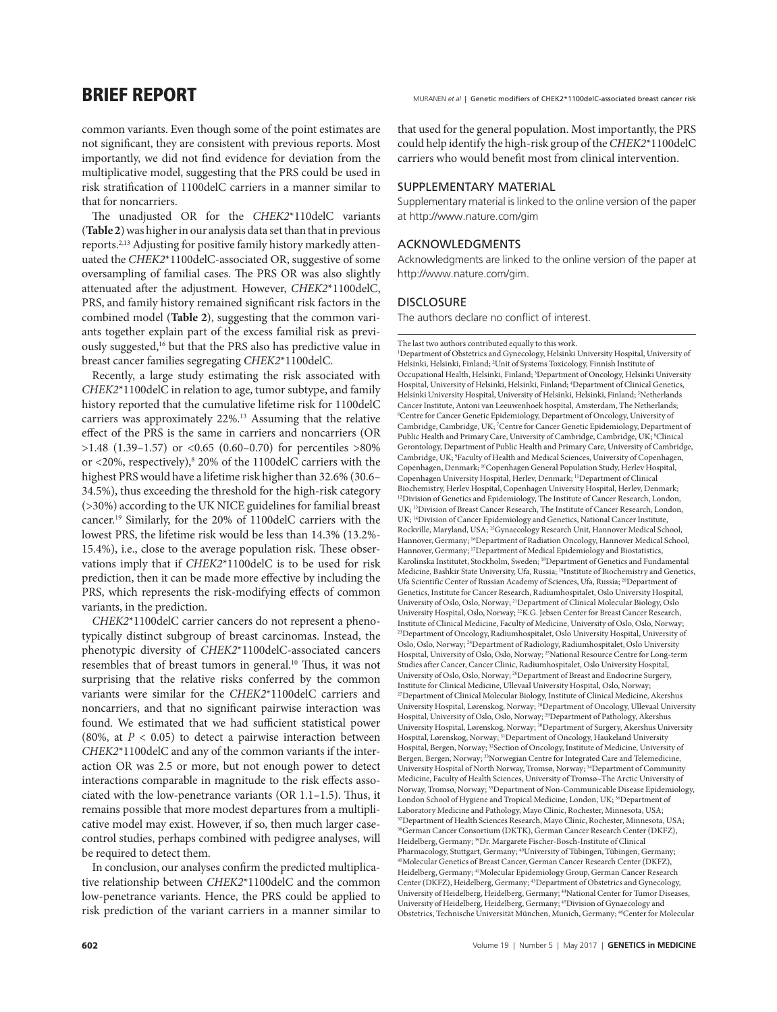**BRIEF REPORT** MURANEN et al | Genetic modifiers of CHEK2\*1100delC-associated breast cancer risk

common variants. Even though some of the point estimates are not significant, they are consistent with previous reports. Most importantly, we did not find evidence for deviation from the multiplicative model, suggesting that the PRS could be used in risk stratification of 1100delC carriers in a manner similar to that for noncarriers.

The unadjusted OR for the *CHEK2*\*110delC variants (**Table 2**) was higher in our analysis data set than that in previous reports.2,13 Adjusting for positive family history markedly attenuated the *CHEK2*\*1100delC-associated OR, suggestive of some oversampling of familial cases. The PRS OR was also slightly attenuated after the adjustment. However, *CHEK2*\*1100delC, PRS, and family history remained significant risk factors in the combined model (**Table 2**), suggesting that the common variants together explain part of the excess familial risk as previously suggested,16 but that the PRS also has predictive value in breast cancer families segregating *CHEK2*\*1100delC.

Recently, a large study estimating the risk associated with *CHEK2*\*1100delC in relation to age, tumor subtype, and family history reported that the cumulative lifetime risk for 1100delC carriers was approximately 22%.13 Assuming that the relative effect of the PRS is the same in carriers and noncarriers (OR  $>1.48$  (1.39–1.57) or <0.65 (0.60–0.70) for percentiles  $>80\%$ or <20%, respectively),<sup>8</sup> 20% of the 1100delC carriers with the highest PRS would have a lifetime risk higher than 32.6% (30.6– 34.5%), thus exceeding the threshold for the high-risk category (>30%) according to the UK NICE guidelines for familial breast cancer.19 Similarly, for the 20% of 1100delC carriers with the lowest PRS, the lifetime risk would be less than 14.3% (13.2%- 15.4%), i.e., close to the average population risk. These observations imply that if *CHEK2*\*1100delC is to be used for risk prediction, then it can be made more effective by including the PRS, which represents the risk-modifying effects of common variants, in the prediction.

*CHEK2*\*1100delC carrier cancers do not represent a phenotypically distinct subgroup of breast carcinomas. Instead, the phenotypic diversity of *CHEK2*\*1100delC-associated cancers resembles that of breast tumors in general.10 Thus, it was not surprising that the relative risks conferred by the common variants were similar for the *CHEK2*\*1100delC carriers and noncarriers, and that no significant pairwise interaction was found. We estimated that we had sufficient statistical power (80%, at  $P < 0.05$ ) to detect a pairwise interaction between *CHEK2*\*1100delC and any of the common variants if the interaction OR was 2.5 or more, but not enough power to detect interactions comparable in magnitude to the risk effects associated with the low-penetrance variants (OR 1.1–1.5). Thus, it remains possible that more modest departures from a multiplicative model may exist. However, if so, then much larger casecontrol studies, perhaps combined with pedigree analyses, will be required to detect them.

In conclusion, our analyses confirm the predicted multiplicative relationship between *CHEK2*\*1100delC and the common low-penetrance variants. Hence, the PRS could be applied to risk prediction of the variant carriers in a manner similar to

that used for the general population. Most importantly, the PRS could help identify the high-risk group of the *CHEK2*\*1100delC carriers who would benefit most from clinical intervention.

# SUPPLEMENTARY MATERIAL

Supplementary material is linked to the online version of the paper at http://www.nature.com/gim

# Acknowledgments

Acknowledgments are linked to the online version of the paper at http://www.nature.com/gim.

## **DISCLOSURE**

The authors declare no conflict of interest.

The last two authors contributed equally to this work.

1 Department of Obstetrics and Gynecology, Helsinki University Hospital, University of Helsinki, Helsinki, Finland; <sup>2</sup> Unit of Systems Toxicology, Finnish Institute of Occupational Health, Helsinki, Finland; 3 Department of Oncology, Helsinki University Hospital, University of Helsinki, Helsinki, Finland; 4 Department of Clinical Genetics, Helsinki University Hospital, University of Helsinki, Helsinki, Finland; 5Netherlands Cancer Institute, Antoni van Leeuwenhoek hospital, Amsterdam, The Netherlands; 6 Centre for Cancer Genetic Epidemiology, Department of Oncology, University of Cambridge, Cambridge, UK; <sup>7</sup> Centre for Cancer Genetic Epidemiology, Department of Public Health and Primary Care, University of Cambridge, Cambridge, UK; <sup>8</sup>Clinical Gerontology, Department of Public Health and Primary Care, University of Cambridge, Cambridge, UK; 9 Faculty of Health and Medical Sciences, University of Copenhagen, Copenhagen, Denmark; 10Copenhagen General Population Study, Herlev Hospital, Copenhagen University Hospital, Herlev, Denmark; 11Department of Clinical Biochemistry, Herlev Hospital, Copenhagen University Hospital, Herlev, Denmark; <sup>12</sup>Division of Genetics and Epidemiology, The Institute of Cancer Research, London, UK; 13Division of Breast Cancer Research, The Institute of Cancer Research, London, UK; 14Division of Cancer Epidemiology and Genetics, National Cancer Institute, Rockville, Maryland, USA; 15Gynaecology Research Unit, Hannover Medical School, Hannover, Germany; <sup>16</sup>Department of Radiation Oncology, Hannover Medical School, Hannover, Germany; <sup>17</sup>Department of Medical Epidemiology and Biostatistics, Karolinska Institutet, Stockholm, Sweden; 18Department of Genetics and Fundamental Medicine, Bashkir State University, Ufa, Russia; 19Institute of Biochemistry and Genetics, Ufa Scientific Center of Russian Academy of Sciences, Ufa, Russia; <sup>20</sup>Department of Genetics, Institute for Cancer Research, Radiumhospitalet, Oslo University Hospital, University of Oslo, Oslo, Norway; 21Department of Clinical Molecular Biology, Oslo University Hospital, Oslo, Norway; 22K.G. Jebsen Center for Breast Cancer Research, Institute of Clinical Medicine, Faculty of Medicine, University of Oslo, Oslo, Norway; <sup>23</sup>Department of Oncology, Radiumhospitalet, Oslo University Hospital, University of Oslo, Oslo, Norway; 24Department of Radiology, Radiumhospitalet, Oslo University Hospital, University of Oslo, Oslo, Norway; 25National Resource Centre for Long-term Studies after Cancer, Cancer Clinic, Radiumhospitalet, Oslo University Hospital, University of Oslo, Oslo, Norway; 26Department of Breast and Endocrine Surgery, Institute for Clinical Medicine, Ullevaal University Hospital, Oslo, Norway; <sup>27</sup>Department of Clinical Molecular Biology, Institute of Clinical Medicine, Akershus University Hospital, Lørenskog, Norway; 28Department of Oncology, Ullevaal University Hospital, University of Oslo, Oslo, Norway; 29Department of Pathology, Akershus University Hospital, Lørenskog, Norway; 30Department of Surgery, Akershus University Hospital, Lørenskog, Norway; 31Department of Oncology, Haukeland University Hospital, Bergen, Norway; <sup>32</sup>Section of Oncology, Institute of Medicine, University of Bergen, Bergen, Norway; <sup>33</sup>Norwegian Centre for Integrated Care and Telemedicine, University Hospital of North Norway, Tromsø, Norway; 34Department of Community Medicine, Faculty of Health Sciences, University of Tromsø–The Arctic University of Norway, Tromsø, Norway; 35Department of Non-Communicable Disease Epidemiology, London School of Hygiene and Tropical Medicine, London, UK; <sup>36</sup>Department of Laboratory Medicine and Pathology, Mayo Clinic, Rochester, Minnesota, USA; <sup>37</sup>Department of Health Sciences Research, Mayo Clinic, Rochester, Minnesota, USA; 38German Cancer Consortium (DKTK), German Cancer Research Center (DKFZ), Heidelberg, Germany; <sup>39</sup>Dr. Margarete Fischer-Bosch-Institute of Clinical Pharmacology, Stuttgart, Germany; <sup>40</sup>University of Tübingen, Germany; <sup>41</sup>Molecular Genetics of Breast Cancer, German Cancer Research Center (DKFZ), Heidelberg, Germany; 42Molecular Epidemiology Group, German Cancer Research Center (DKFZ), Heidelberg, Germany; 43Department of Obstetrics and Gynecology, University of Heidelberg, Heidelberg, Germany; 44National Center for Tumor Diseases, University of Heidelberg, Heidelberg, Germany; 45Division of Gynaecology and Obstetrics, Technische Universität München, Munich, Germany; 46Center for Molecular